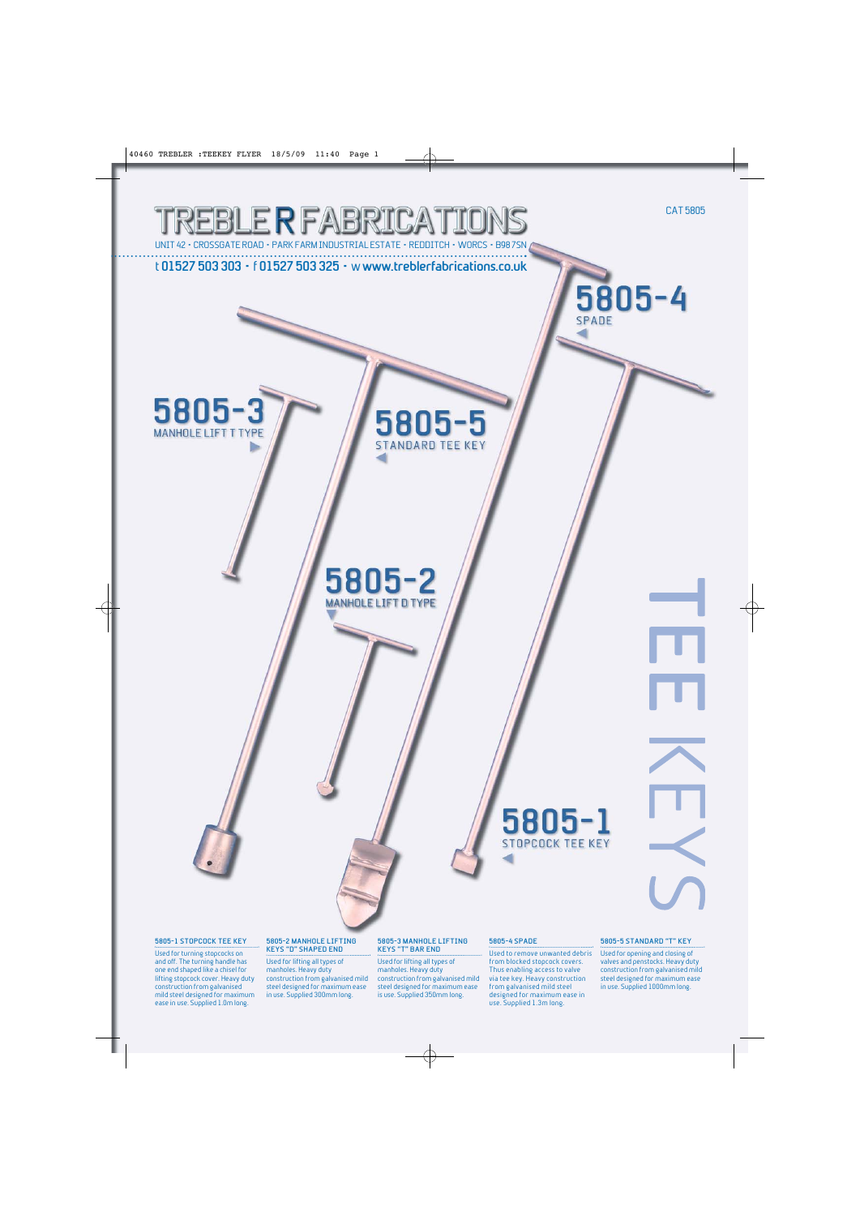

#### **5805-1 STOPCOCK TEE KEY**

Used for turning stopcocks on and off. The turning handle has one end shaped like a chisel for lifting stopcock cover. Heavy duty construction from galvanised mild steel designed for maximum ease in use. Supplied 1.0m long.

### **5805-2 MANHOLE LIFTING KEYS "D" SHAPED END**

Used for lifting all types of manholes. Heavy duty construction from galvanised mild steel designed for maximum ease in use. Supplied 300mm long.

#### **5805-3 MANHOLE LIFTING KEYS "T" BAR END**

Used for lifting all types of manholes. Heavy duty construction from galvanised mild steel designed for maximum ease is use. Supplied 350mm long.

#### **5805-4 SPADE**

Used to remove unwanted debris from blocked stopcock covers. Thus enabling access to valve via tee key. Heavy construction from galvanised mild steel designed for maximum ease in use. Supplied 1.3m long.

#### **5805-5 STANDARD "T" KEY**

Used for opening and closing of valves and penstocks. Heavy duty construction from galvanised mild steel designed for maximum ease in use. Supplied 1000mm long.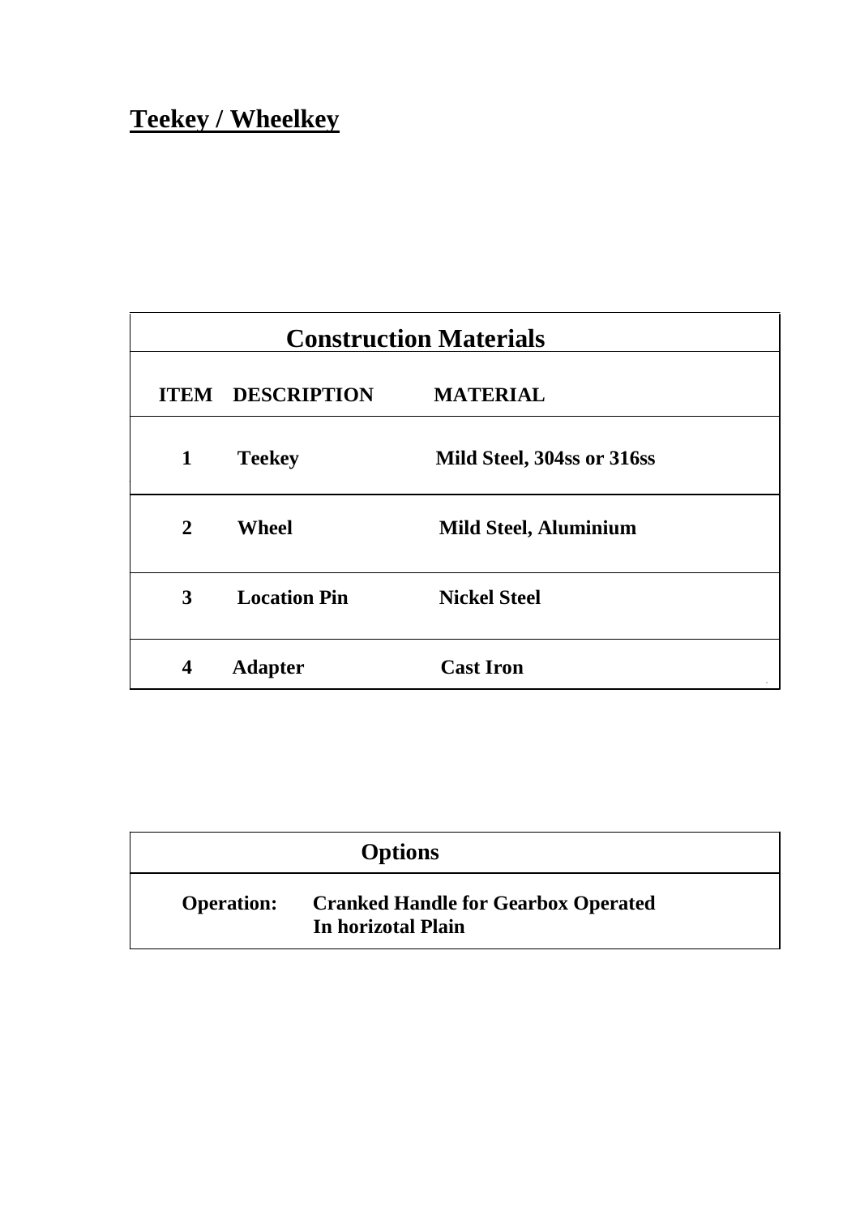# **Teekey / Wheelkey**

| <b>Construction Materials</b> |                         |                              |  |
|-------------------------------|-------------------------|------------------------------|--|
|                               | <b>ITEM DESCRIPTION</b> | <b>MATERIAL</b>              |  |
| $\mathbf 1$                   | <b>Teekey</b>           | Mild Steel, 304ss or 316ss   |  |
| $\mathbf{2}$                  | <b>Wheel</b>            | <b>Mild Steel, Aluminium</b> |  |
| 3                             | <b>Location Pin</b>     | <b>Nickel Steel</b>          |  |
| $\overline{\mathbf{4}}$       | <b>Adapter</b>          | <b>Cast Iron</b>             |  |

| <b>Options</b>    |                                                                  |  |
|-------------------|------------------------------------------------------------------|--|
| <b>Operation:</b> | <b>Cranked Handle for Gearbox Operated</b><br>In horizotal Plain |  |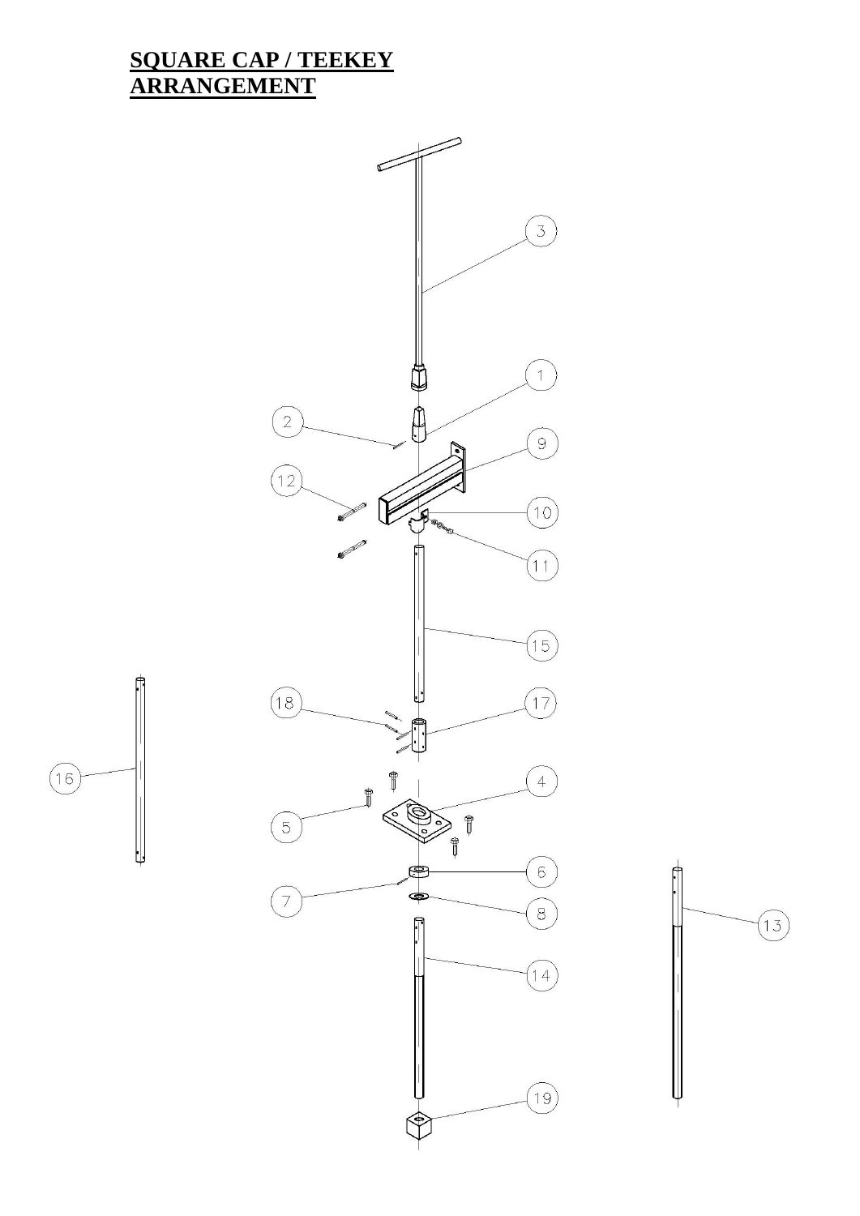## **SQUARE CAP / TEEKEY ARRANGEMENT**

 $\begin{pmatrix} 16 \end{pmatrix}$ 



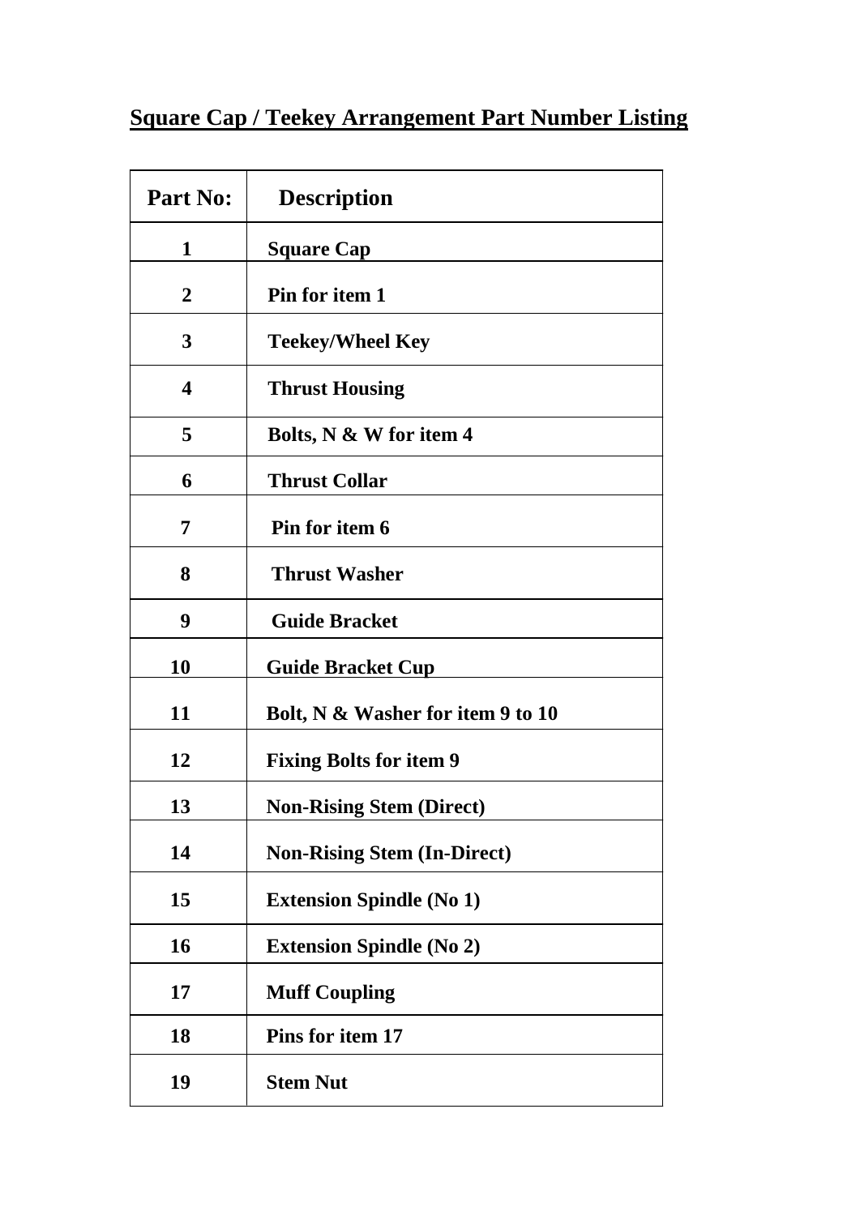## **Square Cap / Teekey Arrangement Part Number Listing**

| Part No:         | <b>Description</b>                 |
|------------------|------------------------------------|
| $\mathbf{1}$     | <b>Square Cap</b>                  |
| $\boldsymbol{2}$ | Pin for item 1                     |
| 3                | <b>Teekey/Wheel Key</b>            |
| 4                | <b>Thrust Housing</b>              |
| 5                | Bolts, N & W for item 4            |
| 6                | <b>Thrust Collar</b>               |
| 7                | Pin for item 6                     |
| 8                | <b>Thrust Washer</b>               |
| 9                | <b>Guide Bracket</b>               |
| 10               | <b>Guide Bracket Cup</b>           |
| 11               | Bolt, N & Washer for item 9 to 10  |
| 12               | <b>Fixing Bolts for item 9</b>     |
| 13               | <b>Non-Rising Stem (Direct)</b>    |
| 14               | <b>Non-Rising Stem (In-Direct)</b> |
| 15               | <b>Extension Spindle (No 1)</b>    |
| 16               | <b>Extension Spindle (No 2)</b>    |
| 17               | <b>Muff Coupling</b>               |
| 18               | Pins for item 17                   |
| 19               | <b>Stem Nut</b>                    |